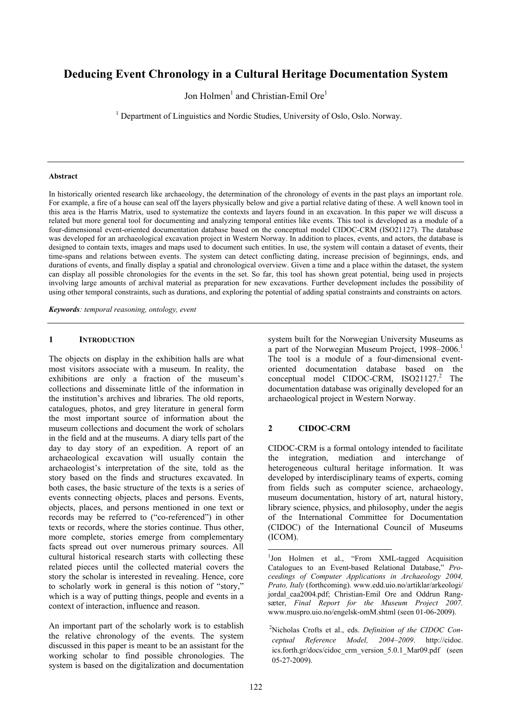# **Deducing Event Chronology in a Cultural Heritage Documentation System**

Jon Holmen<sup>1</sup> and Christian-Emil Ore<sup>1</sup>

<sup>1</sup> Department of Linguistics and Nordic Studies, University of Oslo, Oslo. Norway.

### **Abstract**

In historically oriented research like archaeology, the determination of the chronology of events in the past plays an important role. For example, a fire of a house can seal off the layers physically below and give a partial relative dating of these. A well known tool in this area is the Harris Matrix, used to systematize the contexts and layers found in an excavation. In this paper we will discuss a related but more general tool for documenting and analyzing temporal entities like events. This tool is developed as a module of a four-dimensional event-oriented documentation database based on the conceptual model CIDOC-CRM (ISO21127). The database was developed for an archaeological excavation project in Western Norway. In addition to places, events, and actors, the database is designed to contain texts, images and maps used to document such entities. In use, the system will contain a dataset of events, their time-spans and relations between events. The system can detect conflicting dating, increase precision of beginnings, ends, and durations of events, and finally display a spatial and chronological overview. Given a time and a place within the dataset, the system can display all possible chronologies for the events in the set. So far, this tool has shown great potential, being used in projects involving large amounts of archival material as preparation for new excavations. Further development includes the possibility of using other temporal constraints, such as durations, and exploring the potential of adding spatial constraints and constraints on actors.

*Keywords: temporal reasoning, ontology, event* 

#### **1 INTRODUCTION**

The objects on display in the exhibition halls are what most visitors associate with a museum. In reality, the exhibitions are only a fraction of the museum's collections and disseminate little of the information in the institution's archives and libraries. The old reports, catalogues, photos, and grey literature in general form the most important source of information about the museum collections and document the work of scholars in the field and at the museums. A diary tells part of the day to day story of an expedition. A report of an archaeological excavation will usually contain the archaeologist's interpretation of the site, told as the story based on the finds and structures excavated. In both cases, the basic structure of the texts is a series of events connecting objects, places and persons. Events, objects, places, and persons mentioned in one text or records may be referred to ("co-referenced") in other texts or records, where the stories continue. Thus other, more complete, stories emerge from complementary facts spread out over numerous primary sources. All cultural historical research starts with collecting these related pieces until the collected material covers the story the scholar is interested in revealing. Hence, core to scholarly work in general is this notion of "story," which is a way of putting things, people and events in a context of interaction, influence and reason.

An important part of the scholarly work is to establish the relative chronology of the events. The system discussed in this paper is meant to be an assistant for the working scholar to find possible chronologies. The system is based on the digitalization and documentation system built for the Norwegian University Museums as a part of the Norwegian Museum Project, 1998–2006.<sup>1</sup> The tool is a module of a four-dimensional eventoriented documentation database based on the conceptual model CIDOC-CRM, ISO21127.<sup>2</sup> The documentation database was originally developed for an archaeological project in Western Norway.

# **2 CIDOC-CRM**

CIDOC-CRM is a formal ontology intended to facilitate the integration, mediation and interchange of heterogeneous cultural heritage information. It was developed by interdisciplinary teams of experts, coming from fields such as computer science, archaeology, museum documentation, history of art, natural history, library science, physics, and philosophy, under the aegis of the International Committee for Documentation (CIDOC) of the International Council of Museums (ICOM).

<sup>&</sup>lt;sup>1</sup>Jon Holmen et al., "From XML-tagged Acquisition Catalogues to an Event-based Relational Database," *Proceedings of Computer Applications in Archaeology 2004, Prato, Italy* (forthcoming). www.edd.uio.no/artiklar/arkeologi/ jordal caa2004.pdf; Christian-Emil Ore and Oddrun Rangsæter, *Final Report for the Museum Project 2007.* www.muspro.uio.no/engelsk-omM.shtml (seen 01-06-2009).

<sup>2</sup> Nicholas Crofts et al., eds. *Definition of the CIDOC Conceptual Reference Model, 2004–2009*. http://cidoc. ics.forth.gr/docs/cidoc\_crm\_version\_5.0.1\_Mar09.pdf (seen 05-27-2009).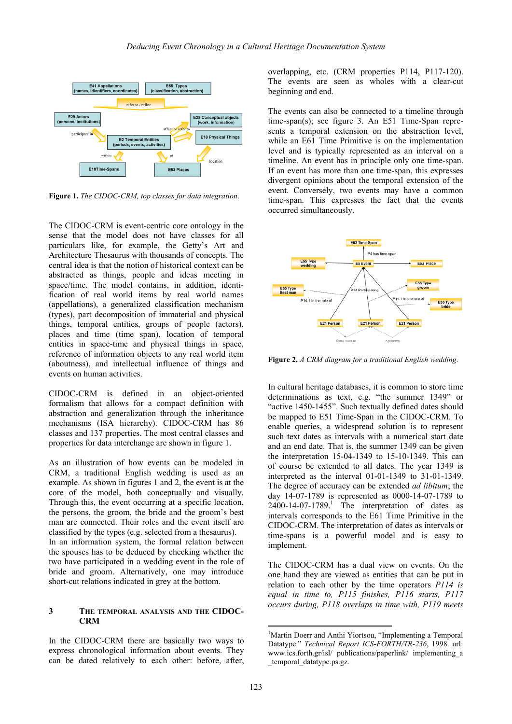

**Figure 1.** *The CIDOC-CRM, top classes for data integration*.

The CIDOC-CRM is event-centric core ontology in the sense that the model does not have classes for all particulars like, for example, the Getty's Art and Architecture Thesaurus with thousands of concepts. The central idea is that the notion of historical context can be abstracted as things, people and ideas meeting in space/time. The model contains, in addition, identification of real world items by real world names (appellations), a generalized classification mechanism (types), part decomposition of immaterial and physical things, temporal entities, groups of people (actors), places and time (time span), location of temporal entities in space-time and physical things in space, reference of information objects to any real world item (aboutness), and intellectual influence of things and events on human activities.

CIDOC-CRM is defined in an object-oriented formalism that allows for a compact definition with abstraction and generalization through the inheritance mechanisms (ISA hierarchy). CIDOC-CRM has 86 classes and 137 properties. The most central classes and properties for data interchange are shown in figure 1.

As an illustration of how events can be modeled in CRM, a traditional English wedding is used as an example. As shown in figures 1 and 2, the event is at the core of the model, both conceptually and visually. Through this, the event occurring at a specific location, the persons, the groom, the bride and the groom's best man are connected. Their roles and the event itself are classified by the types (e.g. selected from a thesaurus). In an information system, the formal relation between the spouses has to be deduced by checking whether the two have participated in a wedding event in the role of bride and groom. Alternatively, one may introduce short-cut relations indicated in grey at the bottom.

## **3 THE TEMPORAL ANALYSIS AND THE CIDOC-CRM**

In the CIDOC-CRM there are basically two ways to express chronological information about events. They can be dated relatively to each other: before, after, overlapping, etc. (CRM properties P114, P117-120). The events are seen as wholes with a clear-cut beginning and end.

The events can also be connected to a timeline through time-span(s); see figure 3. An E51 Time-Span represents a temporal extension on the abstraction level, while an E61 Time Primitive is on the implementation level and is typically represented as an interval on a timeline. An event has in principle only one time-span. If an event has more than one time-span, this expresses divergent opinions about the temporal extension of the event. Conversely, two events may have a common time-span. This expresses the fact that the events occurred simultaneously.



**Figure 2.** *A CRM diagram for a traditional English wedding*.

In cultural heritage databases, it is common to store time determinations as text, e.g. "the summer 1349" or "active 1450-1455". Such textually defined dates should be mapped to E51 Time-Span in the CIDOC-CRM. To enable queries, a widespread solution is to represent such text dates as intervals with a numerical start date and an end date. That is, the summer 1349 can be given the interpretation 15-04-1349 to 15-10-1349. This can of course be extended to all dates. The year 1349 is interpreted as the interval 01-01-1349 to 31-01-1349. The degree of accuracy can be extended *ad libitum*; the day 14-07-1789 is represented as 0000-14-07-1789 to  $2400-14-07-1789$ .<sup>1</sup> The interpretation of dates as intervals corresponds to the E61 Time Primitive in the CIDOC-CRM. The interpretation of dates as intervals or time-spans is a powerful model and is easy to implement.

The CIDOC-CRM has a dual view on events. On the one hand they are viewed as entities that can be put in relation to each other by the time operators *P114 is equal in time to, P115 finishes, P116 starts, P117 occurs during, P118 overlaps in time with, P119 meets* 

<sup>&</sup>lt;sup>1</sup>Martin Doerr and Anthi Yiortsou, "Implementing a Temporal Datatype." *Technical Report ICS-FORTH/TR-236*, 1998. url: www.ics.forth.gr/isl/ publications/paperlink/ implementing\_a \_temporal\_datatype.ps.gz.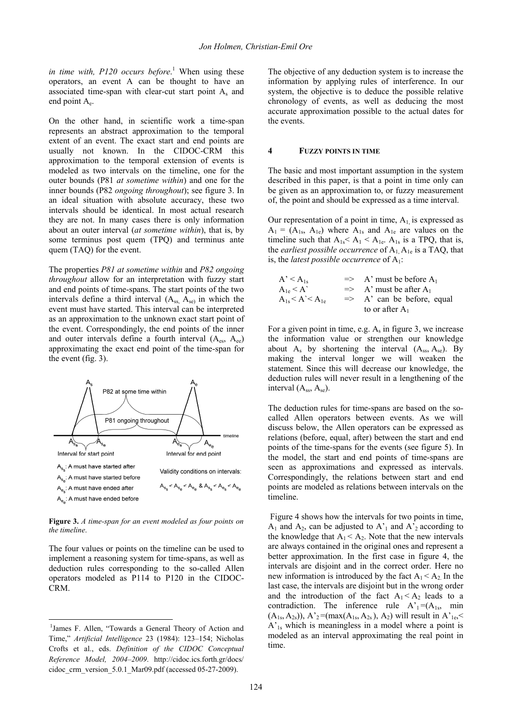in time with, P120 occurs before.<sup>1</sup> When using these operators, an event A can be thought to have an associated time-span with clear-cut start point As and end point  $A_{e}$ .

On the other hand, in scientific work a time-span represents an abstract approximation to the temporal extent of an event. The exact start and end points are usually not known. In the CIDOC-CRM this approximation to the temporal extension of events is modeled as two intervals on the timeline, one for the outer bounds (P81 *at sometime within*) and one for the inner bounds (P82 *ongoing throughout*); see figure 3. In an ideal situation with absolute accuracy, these two intervals should be identical. In most actual research they are not. In many cases there is only information about an outer interval (*at sometime within*), that is, by some terminus post quem (TPQ) and terminus ante quem (TAQ) for the event.

The properties *P81 at sometime within* and *P82 ongoing throughout* allow for an interpretation with fuzzy start and end points of time-spans. The start points of the two intervals define a third interval  $(A_{ss}, A_{se})$  in which the event must have started. This interval can be interpreted as an approximation to the unknown exact start point of the event. Correspondingly, the end points of the inner and outer intervals define a fourth interval  $(A_{es}, A_{ee})$ approximating the exact end point of the time-span for the event (fig. 3).



**Figure 3.** *A time-span for an event modeled as four points on the timeline*.

The four values or points on the timeline can be used to implement a reasoning system for time-spans, as well as deduction rules corresponding to the so-called Allen operators modeled as P114 to P120 in the CIDOC-CRM.

The objective of any deduction system is to increase the information by applying rules of interference. In our system, the objective is to deduce the possible relative chronology of events, as well as deducing the most accurate approximation possible to the actual dates for the events.

#### **4 FUZZY POINTS IN TIME**

The basic and most important assumption in the system described in this paper, is that a point in time only can be given as an approximation to, or fuzzy measurement of, the point and should be expressed as a time interval.

Our representation of a point in time,  $A_1$  is expressed as  $A_1 = (A_{1s}, A_{1e})$  where  $A_{1s}$  and  $A_{1e}$  are values on the timeline such that  $A_{1s} < A_{1c} < A_{1e}$ .  $A_{1s}$  is a TPQ, that is, the *earliest possible occurrence* of  $A_1, A_1$ <sub>e</sub> is a TAQ, that is, the *latest possible occurrence* of A<sub>1</sub>:

$$
A' < A_{1s} \Rightarrow A' \text{ must be before } A_1
$$
  
\n
$$
A_{1e} < A' \Rightarrow A' \text{ must be after } A_1
$$
  
\n
$$
A_{1s} < A' < A_{1e} \Rightarrow A' \text{ can be before, equal}
$$
  
\nto or after  $A_1$ 

For a given point in time, e.g.  $A_s$  in figure 3, we increase the information value or strengthen our knowledge about  $A_s$  by shortening the interval  $(A_{ss}, A_{se})$ . By making the interval longer we will weaken the statement. Since this will decrease our knowledge, the deduction rules will never result in a lengthening of the interval  $(A_{ss}, A_{se})$ .

The deduction rules for time-spans are based on the socalled Allen operators between events. As we will discuss below, the Allen operators can be expressed as relations (before, equal, after) between the start and end points of the time-spans for the events (see figure 5). In the model, the start and end points of time-spans are seen as approximations and expressed as intervals. Correspondingly, the relations between start and end points are modeled as relations between intervals on the timeline.

 Figure 4 shows how the intervals for two points in time,  $A_1$  and  $A_2$ , can be adjusted to  $A'_1$  and  $A'_2$  according to the knowledge that  $A_1 < A_2$ . Note that the new intervals are always contained in the original ones and represent a better approximation. In the first case in figure 4, the intervals are disjoint and in the correct order. Here no new information is introduced by the fact  $A_1 < A_2$ . In the last case, the intervals are disjoint but in the wrong order and the introduction of the fact  $A_1 < A_2$  leads to a contradiction. The inference rule  $A'_1 = (A_{1s}, min)$  $(A_{1s}, A_{2s})$ ,  $A'_{2}$ =(max $(A_{1s}, A_{2s})$ ,  $A_{2}$ ) will result in  $A'_{1e}$ ,  $\lt$ A'1s which is meaningless in a model where a point is modeled as an interval approximating the real point in time.

<sup>&</sup>lt;sup>1</sup>James F. Allen, "Towards a General Theory of Action and Time," *Artificial Intelligence* 23 (1984): 123–154; Nicholas Crofts et al., eds. *Definition of the CIDOC Conceptual Reference Model, 2004–2009*. http://cidoc.ics.forth.gr/docs/ cidoc crm version 5.0.1 Mar09.pdf (accessed 05-27-2009).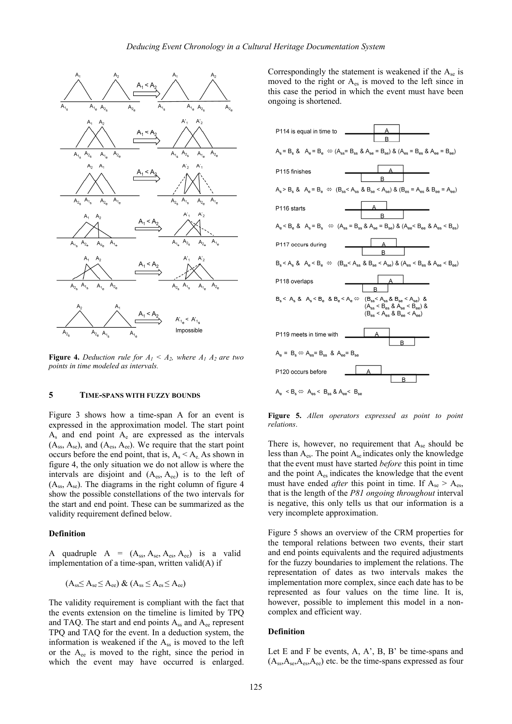

**Figure 4.** *Deduction rule for*  $A_1 \leq A_2$ , where  $A_1 A_2$  are two *points in time modeled as intervals.*

## **5 TIME-SPANS WITH FUZZY BOUNDS**

Figure 3 shows how a time-span A for an event is expressed in the approximation model. The start point  $A_s$  and end point  $A_e$  are expressed as the intervals  $(A_{ss}, A_{se})$ , and  $(A_{es}, A_{ee})$ . We require that the start point occurs before the end point, that is,  $A_s < A_e$ . As shown in figure 4, the only situation we do not allow is where the intervals are disjoint and  $(A_{es}, A_{ee})$  is to the left of  $(A_{ss}, A_{se})$ . The diagrams in the right column of figure 4 show the possible constellations of the two intervals for the start and end point. These can be summarized as the validity requirement defined below.

#### **Definition**

A quadruple  $A = (A_{ss}, A_{se}, A_{es}, A_{ee})$  is a valid implementation of a time-span, written valid(A) if

$$
(A_{ss} \leq A_{se} \leq A_{ee}) \& (A_{ss} \leq A_{es} \leq A_{ee})
$$

The validity requirement is compliant with the fact that the events extension on the timeline is limited by TPQ and TAQ. The start and end points  $A_{ss}$  and  $A_{ee}$  represent TPQ and TAQ for the event. In a deduction system, the information is weakened if the Ass is moved to the left or the  $A_{ee}$  is moved to the right, since the period in which the event may have occurred is enlarged.

Correspondingly the statement is weakened if the  $A_{se}$  is moved to the right or  $A_{es}$  is moved to the left since in this case the period in which the event must have been ongoing is shortened.

| P114 is equal in time to<br>A<br>B                                                                                                                                                                                    |
|-----------------------------------------------------------------------------------------------------------------------------------------------------------------------------------------------------------------------|
| ${\sf A_s}={\sf B_s}\ \&\ \ {\sf A_e}={\sf B_e}\ \Leftrightarrow ({\sf A_{ss}}={\sf B_{ss}}\ \&\ {\sf A_{se}}={\sf B_{se}})\ \&\ ({\sf A_{es}}={\sf B_{es}}\ \&\ {\sf A_{ee}}={\sf B_{ee}})$                          |
| P115 finishes<br>в                                                                                                                                                                                                    |
| $A_s > B_s$ & $A_e = B_e \Leftrightarrow (B_{ss} < A_{ss}$ & $B_{se} < A_{se})$ & $(B_{es} = A_{es}$ & $B_{ee} = A_{ee})$                                                                                             |
| P116 starts<br>B                                                                                                                                                                                                      |
| $A_e < B_e$ & $A_s = B_s$ $\Leftrightarrow$ $(A_{ss} = B_{ss}$ & $A_{se} = B_{se}$ ) & $(A_{ee} < B_{ee}$ & $A_{es} < B_{es})$                                                                                        |
| P117 occurs during<br>в                                                                                                                                                                                               |
| ${\sf B_s} < {\sf A_s} \ \& \ \ {\sf A_e} < {\sf B_e} \ \Leftrightarrow \ \ ({\sf B_{ss}} < {\sf A_{ss}} \ \& \ {\sf B_{se}} < {\sf A_{se}}) \ \& \ ({\sf A_{es}} < {\sf B_{es}} \ \& \ {\sf A_{ee}} < {\sf B_{ee}})$ |
| P118 overlaps<br>В                                                                                                                                                                                                    |
| $B_s < A_s$ & $A_s < B_e$ & $B_e < A_e \Leftrightarrow (B_{ss} < A_{ss}$ & $B_{se} < A_{se})$ &<br>$(A_{\rm ss}< B_{\rm es}$ & $A_{\rm se} < B_{\rm ee})$ &<br>$(B_{es} < A_{es}$ & $B_{ee} < A_{ee})$                |
| P119 meets in time with                                                                                                                                                                                               |
| В<br>$A_e = B_s \Leftrightarrow A_{es} = B_{ss}$ & $A_{ee} = B_{se}$                                                                                                                                                  |
| P120 occurs before                                                                                                                                                                                                    |
| B<br>Α < R ⇔ Α < R & A < R                                                                                                                                                                                            |

**Figure 5.** *Allen operators expressed as point to point relations*.

There is, however, no requirement that  $A_{se}$  should be less than  $A_{\text{es}}$ . The point  $A_{\text{se}}$  indicates only the knowledge that the event must have started *before* this point in time and the point Aes indicates the knowledge that the event must have ended *after* this point in time. If  $A_{se} > A_{es}$ , that is the length of the *P81 ongoing throughout* interval is negative, this only tells us that our information is a very incomplete approximation.

Figure 5 shows an overview of the CRM properties for the temporal relations between two events, their start and end points equivalents and the required adjustments for the fuzzy boundaries to implement the relations. The representation of dates as two intervals makes the implementation more complex, since each date has to be represented as four values on the time line. It is, however, possible to implement this model in a noncomplex and efficient way.

#### **Definition**

Let E and F be events,  $A$ ,  $A$ ',  $B$ ,  $B$ ' be time-spans and  $(A_{ss},A_{se},A_{es},A_{ee})$  etc. be the time-spans expressed as four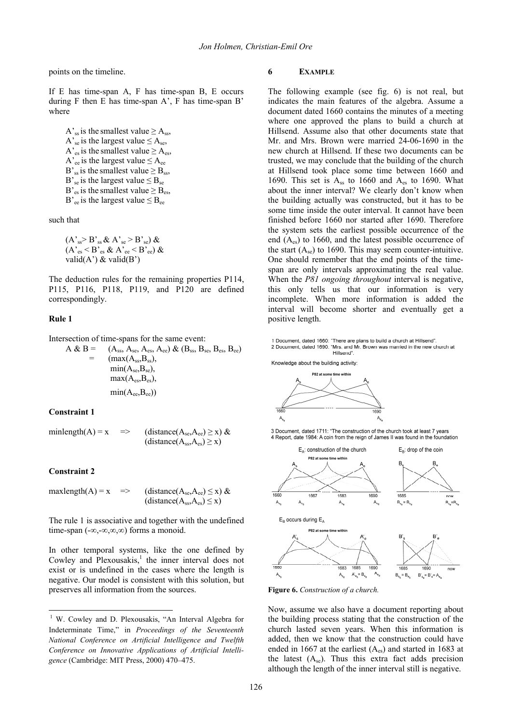points on the timeline.

If E has time-span A, F has time-span B, E occurs during F then E has time-span A', F has time-span B' where

A's is the smallest value  $\geq$  A<sub>ss</sub>, A's is the largest value  $\leq$  A<sub>se</sub>, A'<sub>es</sub> is the smallest value  $\geq A_{es}$ , A'<sub>ee</sub> is the largest value  $\leq$  A<sub>ee</sub> B'<sub>ss</sub> is the smallest value  $\geq$  B<sub>ss</sub>, B'<sub>se</sub> is the largest value  $\leq$  B<sub>se</sub> B'<sub>es</sub> is the smallest value  $\geq$  B<sub>es</sub>, B'<sub>ee</sub> is the largest value  $\leq B_{ee}$ 

such that

 $(A<sub>ss</sub> > B<sub>ss</sub> \& A<sub>se</sub> > B<sub>se</sub>) \&$  $(A_{es}^{\prime} < B_{es}^{\prime} \& A_{ce}^{\prime} < B_{ce}^{\prime}) \&$ valid $(A')$  & valid $(B')$ 

The deduction rules for the remaining properties P114, P115, P116, P118, P119, and P120 are defined correspondingly.

#### **Rule 1**

Intersection of time-spans for the same event:

$$
A & B = (A_{ss}, A_{se}, A_{es}, A_{ee}) & (B_{ss}, B_{se}, B_{es}, B_{ee})
$$
  
= (max(A\_{ss}, B\_{ss}),  
min(A\_{se}, B\_{se}),  
max(A\_{es}, B\_{es}),  
min(A\_{ee}, B\_{ee}))

#### **Constraint 1**

minlength(A) = x => (distance( $A_{se}$ , $A_{ee}$ )  $\geq$  x) &  $(distance(A<sub>ss</sub>, A<sub>es</sub>) \geq x)$ 

#### **Constraint 2**

$$
\begin{array}{lll}\text{maxlength}(A) = x & \Rightarrow & \text{(distance}(A_{\text{se}}, A_{\text{ee}}) \leq x) \& \\ & \text{(distance}(A_{\text{ss}}, A_{\text{es}}) \leq x)\end{array}
$$

The rule 1 is associative and together with the undefined time-span (-∞,-∞,∞,∞) forms a monoid.

In other temporal systems, like the one defined by Cowley and Plexousakis, $\frac{1}{1}$  the inner interval does not exist or is undefined in the cases where the length is negative. Our model is consistent with this solution, but preserves all information from the sources.

## **6 EXAMPLE**

The following example (see fig. 6) is not real, but indicates the main features of the algebra. Assume a document dated 1660 contains the minutes of a meeting where one approved the plans to build a church at Hillsend. Assume also that other documents state that Mr. and Mrs. Brown were married 24-06-1690 in the new church at Hillsend. If these two documents can be trusted, we may conclude that the building of the church at Hillsend took place some time between 1660 and 1690. This set is  $A_{ss}$  to 1660 and  $A_{es}$  to 1690. What about the inner interval? We clearly don't know when the building actually was constructed, but it has to be some time inside the outer interval. It cannot have been finished before 1660 nor started after 1690. Therefore the system sets the earliest possible occurrence of the end  $(A_{es})$  to 1660, and the latest possible occurrence of the start  $(A_{se})$  to 1690. This may seem counter-intuitive. One should remember that the end points of the timespan are only intervals approximating the real value. When the *P81 ongoing throughout* interval is negative, this only tells us that our information is very incomplete. When more information is added the interval will become shorter and eventually get a positive length.

1 Document, dated 1660: "There are plans to build a church at Hillsend". 2 Document, dated 1690: "Mrs. and Mr. Brown was married in the new church at<br>Hillsend".

Knowledge about the building activity:



3 Document, dated 1711: "The construction of the church took at least 7 years 4 Report, date 1984: A coin from the reign of James II was found in the foundation



**Figure 6.** *Construction of a church.* 

Now, assume we also have a document reporting about the building process stating that the construction of the church lasted seven years. When this information is added, then we know that the construction could have ended in 1667 at the earliest  $(A_{es})$  and started in 1683 at the latest  $(A_{se})$ . Thus this extra fact adds precision although the length of the inner interval still is negative.

<sup>&</sup>lt;sup>1</sup> W. Cowley and D. Plexousakis, "An Interval Algebra for Indeterminate Time," in *Proceedings of the Seventeenth National Conference on Artificial Intelligence and Twelfth Conference on Innovative Applications of Artificial Intelligence* (Cambridge: MIT Press, 2000) 470–475.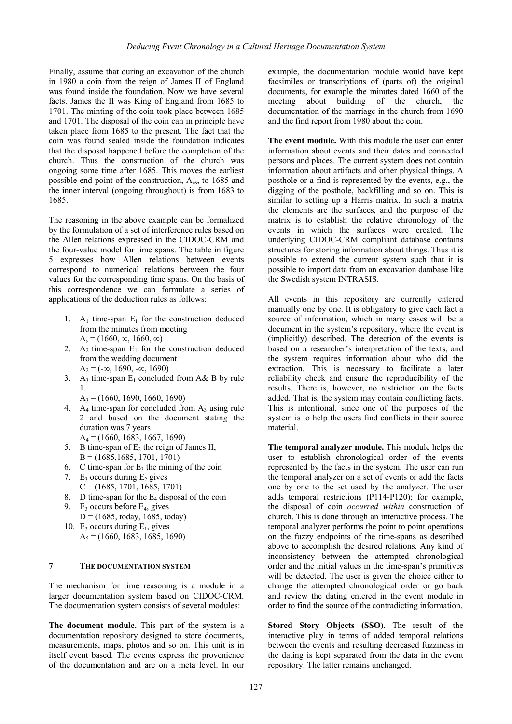Finally, assume that during an excavation of the church in 1980 a coin from the reign of James II of England was found inside the foundation. Now we have several facts. James the II was King of England from 1685 to 1701. The minting of the coin took place between 1685 and 1701. The disposal of the coin can in principle have taken place from 1685 to the present. The fact that the coin was found sealed inside the foundation indicates that the disposal happened before the completion of the church. Thus the construction of the church was ongoing some time after 1685. This moves the earliest possible end point of the construction,  $A_{\text{es}}$ , to 1685 and the inner interval (ongoing throughout) is from 1683 to 1685.

The reasoning in the above example can be formalized by the formulation of a set of interference rules based on the Allen relations expressed in the CIDOC-CRM and the four-value model for time spans. The table in figure 5 expresses how Allen relations between events correspond to numerical relations between the four values for the corresponding time spans. On the basis of this correspondence we can formulate a series of applications of the deduction rules as follows:

- 1. A<sub>1</sub> time-span  $E_1$  for the construction deduced from the minutes from meeting  $A_{1} = (1660, \infty, 1660, \infty)$
- 2.  $A_2$  time-span  $E_1$  for the construction deduced from the wedding document  $A_2 = (-\infty, 1690, -\infty, 1690)$
- 3. A<sub>3</sub> time-span  $E_1$  concluded from A& B by rule 1.
	- $A_3 = (1660, 1690, 1660, 1690)$
- 4. A<sub>4</sub> time-span for concluded from  $A_3$  using rule 2 and based on the document stating the duration was 7 years  $A_4 = (1660, 1683, 1667, 1690)$
- 5. B time-span of  $E_2$  the reign of James II,  $B = (1685, 1685, 1701, 1701)$
- 6. C time-span for  $E_3$  the mining of the coin
- 7. E<sub>3</sub> occurs during  $E_2$  gives  $C = (1685, 1701, 1685, 1701)$
- 8. D time-span for the  $E_4$  disposal of the coin
- 9. E<sub>3</sub> occurs before  $E_4$ , gives  $D = (1685, \text{today}, 1685, \text{today})$
- 10. E<sub>3</sub> occurs during  $E_1$ , gives  $A_5 = (1660, 1683, 1685, 1690)$

# **7 THE DOCUMENTATION SYSTEM**

The mechanism for time reasoning is a module in a larger documentation system based on CIDOC-CRM. The documentation system consists of several modules:

**The document module.** This part of the system is a documentation repository designed to store documents, measurements, maps, photos and so on. This unit is in itself event based. The events express the provenience of the documentation and are on a meta level. In our example, the documentation module would have kept facsimiles or transcriptions of (parts of) the original documents, for example the minutes dated 1660 of the meeting about building of the church, the documentation of the marriage in the church from 1690 and the find report from 1980 about the coin.

**The event module.** With this module the user can enter information about events and their dates and connected persons and places. The current system does not contain information about artifacts and other physical things. A posthole or a find is represented by the events, e.g., the digging of the posthole, backfilling and so on. This is similar to setting up a Harris matrix. In such a matrix the elements are the surfaces, and the purpose of the matrix is to establish the relative chronology of the events in which the surfaces were created. The underlying CIDOC-CRM compliant database contains structures for storing information about things. Thus it is possible to extend the current system such that it is possible to import data from an excavation database like the Swedish system INTRASIS.

All events in this repository are currently entered manually one by one. It is obligatory to give each fact a source of information, which in many cases will be a document in the system's repository, where the event is (implicitly) described. The detection of the events is based on a researcher's interpretation of the texts, and the system requires information about who did the extraction. This is necessary to facilitate a later reliability check and ensure the reproducibility of the results. There is, however, no restriction on the facts added. That is, the system may contain conflicting facts. This is intentional, since one of the purposes of the system is to help the users find conflicts in their source material.

**The temporal analyzer module.** This module helps the user to establish chronological order of the events represented by the facts in the system. The user can run the temporal analyzer on a set of events or add the facts one by one to the set used by the analyzer. The user adds temporal restrictions (P114-P120); for example, the disposal of coin *occurred within* construction of church. This is done through an interactive process. The temporal analyzer performs the point to point operations on the fuzzy endpoints of the time-spans as described above to accomplish the desired relations. Any kind of inconsistency between the attempted chronological order and the initial values in the time-span's primitives will be detected. The user is given the choice either to change the attempted chronological order or go back and review the dating entered in the event module in order to find the source of the contradicting information.

**Stored Story Objects (SSO).** The result of the interactive play in terms of added temporal relations between the events and resulting decreased fuzziness in the dating is kept separated from the data in the event repository. The latter remains unchanged.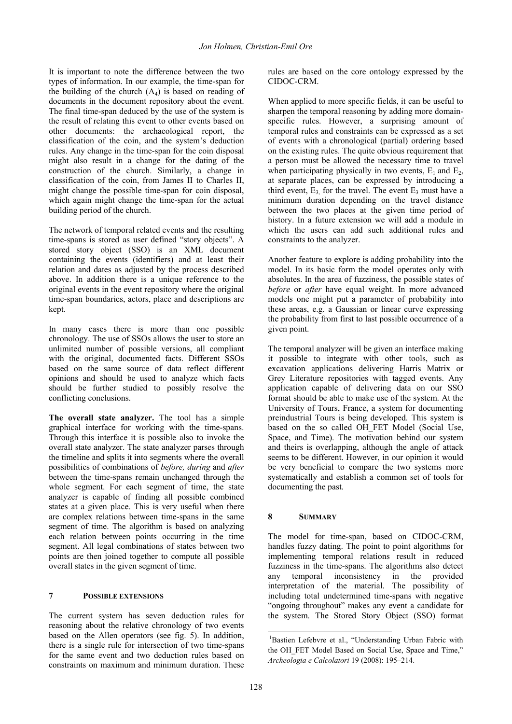It is important to note the difference between the two types of information. In our example, the time-span for the building of the church  $(A_4)$  is based on reading of documents in the document repository about the event. The final time-span deduced by the use of the system is the result of relating this event to other events based on other documents: the archaeological report, the classification of the coin, and the system's deduction rules. Any change in the time-span for the coin disposal might also result in a change for the dating of the construction of the church. Similarly, a change in classification of the coin, from James II to Charles II, might change the possible time-span for coin disposal, which again might change the time-span for the actual building period of the church.

The network of temporal related events and the resulting time-spans is stored as user defined "story objects". A stored story object (SSO) is an XML document containing the events (identifiers) and at least their relation and dates as adjusted by the process described above. In addition there is a unique reference to the original events in the event repository where the original time-span boundaries, actors, place and descriptions are kept.

In many cases there is more than one possible chronology. The use of SSOs allows the user to store an unlimited number of possible versions, all compliant with the original, documented facts. Different SSOs based on the same source of data reflect different opinions and should be used to analyze which facts should be further studied to possibly resolve the conflicting conclusions.

**The overall state analyzer.** The tool has a simple graphical interface for working with the time-spans. Through this interface it is possible also to invoke the overall state analyzer. The state analyzer parses through the timeline and splits it into segments where the overall possibilities of combinations of *before, during* and *after* between the time-spans remain unchanged through the whole segment. For each segment of time, the state analyzer is capable of finding all possible combined states at a given place. This is very useful when there are complex relations between time-spans in the same segment of time. The algorithm is based on analyzing each relation between points occurring in the time segment. All legal combinations of states between two points are then joined together to compute all possible overall states in the given segment of time.

# **7 POSSIBLE EXTENSIONS**

The current system has seven deduction rules for reasoning about the relative chronology of two events based on the Allen operators (see fig. 5). In addition, there is a single rule for intersection of two time-spans for the same event and two deduction rules based on constraints on maximum and minimum duration. These

rules are based on the core ontology expressed by the CIDOC-CRM.

When applied to more specific fields, it can be useful to sharpen the temporal reasoning by adding more domainspecific rules. However, a surprising amount of temporal rules and constraints can be expressed as a set of events with a chronological (partial) ordering based on the existing rules. The quite obvious requirement that a person must be allowed the necessary time to travel when participating physically in two events,  $E_1$  and  $E_2$ , at separate places, can be expressed by introducing a third event,  $E_3$  for the travel. The event  $E_3$  must have a minimum duration depending on the travel distance between the two places at the given time period of history. In a future extension we will add a module in which the users can add such additional rules and constraints to the analyzer.

Another feature to explore is adding probability into the model. In its basic form the model operates only with absolutes. In the area of fuzziness, the possible states of *before* or *after* have equal weight. In more advanced models one might put a parameter of probability into these areas, e.g. a Gaussian or linear curve expressing the probability from first to last possible occurrence of a given point.

The temporal analyzer will be given an interface making it possible to integrate with other tools, such as excavation applications delivering Harris Matrix or Grey Literature repositories with tagged events. Any application capable of delivering data on our SSO format should be able to make use of the system. At the University of Tours, France, a system for documenting preindustrial Tours is being developed. This system is based on the so called OH FET Model (Social Use, Space, and Time). The motivation behind our system and theirs is overlapping, although the angle of attack seems to be different. However, in our opinion it would be very beneficial to compare the two systems more systematically and establish a common set of tools for documenting the past.

# **8 SUMMARY**

The model for time-span, based on CIDOC-CRM, handles fuzzy dating. The point to point algorithms for implementing temporal relations result in reduced fuzziness in the time-spans. The algorithms also detect any temporal inconsistency in the provided interpretation of the material. The possibility of including total undetermined time-spans with negative "ongoing throughout" makes any event a candidate for the system. The Stored Story Object (SSO) format

<sup>&</sup>lt;sup>1</sup>Bastien Lefebvre et al., "Understanding Urban Fabric with the OH\_FET Model Based on Social Use, Space and Time," *Archeologia e Calcolatori* 19 (2008): 195–214.